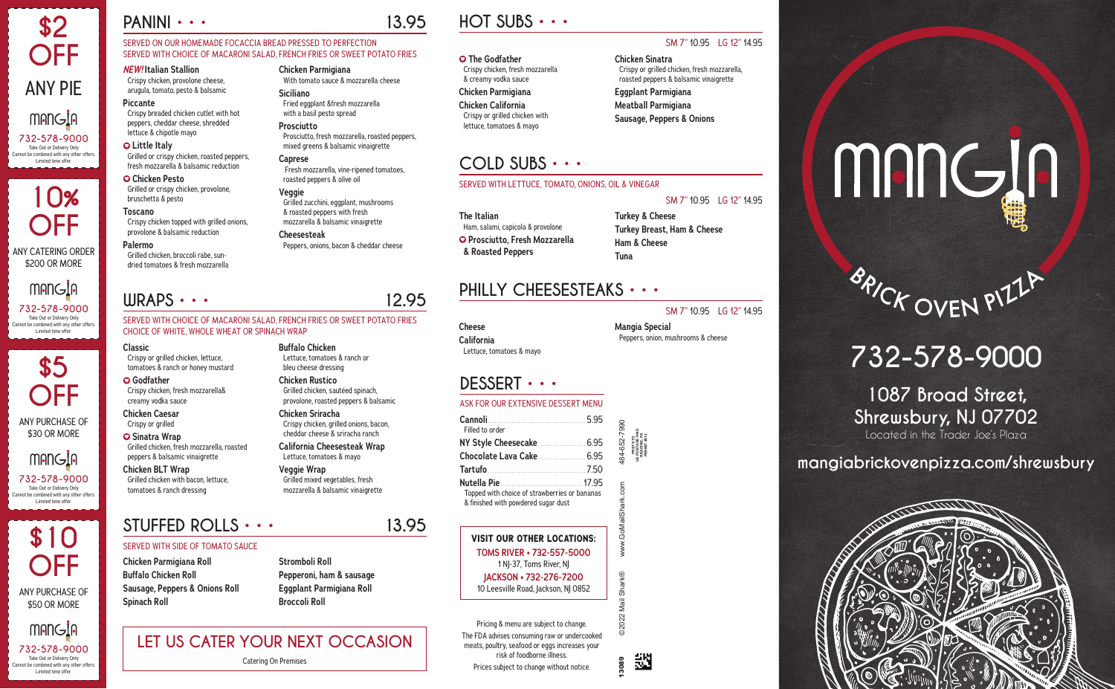#### SERVED ON OUR HOMEMADE FOCACCIA BREAD PRESSED TO PERFECTION SERVED WITH CHOICE OF MACARONI SALAD, FRENCH FRIES OR SWEET POTATO FRIES

*NEW!* **Italian Stallion** Crispy chicken, provolone cheese, arugula, tomato, pesto & balsamic

#### **Piccante**

Crispy breaded chicken cutlet with hot peppers, cheddar cheese, shredded lettuce & chipotle mayo

 **Little Italy** Grilled or crispy chicken, roasted peppers, fresh mozzarella & balsamic reduction

 **Chicken Pesto** Grilled or crispy chicken, provolone, bruschetta & pesto

**Toscano** Crispy chicken topped with grilled onions, provolone & balsamic reduction

#### **Palermo**

Grilled chicken, broccoli rabe, sundried tomatoes & fresh mozzarella **Chicken Parmigiana**

With tomato sauce & mozzarella cheese

**Siciliano**

Fried eggplant &fresh mozzarella with a basil pesto spread

**Prosciutto**

Prosciutto, fresh mozzarella, roasted peppers, mixed greens & balsamic vinaigrette

**Caprese**

Fresh mozzarella, vine-ripened tomatoes,

roasted peppers & olive oil

**Veggie**

Grilled zucchini, eggplant, mushrooms & roasted peppers with fresh mozzarella & balsamic vinaigrette

**Cheesesteak**

Peppers, onions, bacon & cheddar cheese

#### **DESSERT • • •**

#### ASK FOR OUR EXTENSIVE DESSERT MENU

| Cannoli<br>5.95<br>Filled to order                                                                                                                                    | 484-652-7990            |                                                                 |
|-----------------------------------------------------------------------------------------------------------------------------------------------------------------------|-------------------------|-----------------------------------------------------------------|
|                                                                                                                                                                       |                         | US POSTAGE PAID<br>READING, PA<br>PERMIT #412<br><b>OLS LSS</b> |
| Topped with choice of strawberries or bananas                                                                                                                         |                         |                                                                 |
| & finished with powdered sugar dust<br><b>VISIT OUR OTHER LOCATIONS:</b>                                                                                              | www.GoMailShark.com     |                                                                 |
| TOMS RIVER • 732-557-5000<br>1 NJ-37, Toms River, NJ                                                                                                                  |                         |                                                                 |
| JACKSON • 732-276-7200<br>10 Leesville Road, Jackson, NJ 0852                                                                                                         |                         |                                                                 |
| Pricing & menu are subject to change.<br>The FDA advises consuming raw or undercooked<br>meats, poultry, seafood or eggs increases your<br>risk of foodborne illness. | <b>2022 Mail Shark®</b> |                                                                 |
| Prices subject to change without notice.                                                                                                                              |                         |                                                                 |

# **HOT SUBS • • •**

SM 7" 10.95 LG 12" 14.95

 **The Godfather** Crispy chicken, fresh mozzarella & creamy vodka sauce

#### **Chicken Parmigiana Chicken California** Crispy or grilled chicken with lettuce, tomatoes & mayo

**Chicken Sinatra**

Crispy or grilled chicken, fresh mozzarella, roasted peppers & balsamic vinaigrette

**Eggplant Parmigiana Meatball Parmigiana Sausage, Peppers & Onions**

## **COLD SUBS • • •**

#### SERVED WITH LETTUCE, TOMATO, ONIONS, OIL & VINEGAR

SM 7" 10.95 LG 12" 14.95

**The Italian** Ham, salami, capicola & provolone  **Prosciutto, Fresh Mozzarella & Roasted Peppers**

**10% OFF** ANY CATERING ORDER \$200 OR MORE **MANGIA 732-578-9000**<br>Take Out or Delivery Only

#### **Turkey & Cheese Turkey Breast, Ham & Cheese Ham & Cheese Tuna**

# **STUFFED ROLLS • • • 13.95**

#### SERVED WITH SIDE OF TOMATO SAUCE

**Chicken Parmigiana Roll Buffalo Chicken Roll Sausage, Peppers & Onions Roll Spinach Roll**

**Stromboli Roll Pepperoni, ham & sausage Eggplant Parmigiana Roll Broccoli Roll**

## **WRAPS • • • 12.95**

SERVED WITH CHOICE OF MACARONI SALAD, FRENCH FRIES OR SWEET POTATO FRIES CHOICE OF WHITE, WHOLE WHEAT OR SPINACH WRAP

**Classic** Crispy or grilled chicken, lettuce, tomatoes & ranch or honey mustard

 **Godfather** Crispy chicken, fresh mozzarella& creamy vodka sauce

**Chicken Caesar** Crispy or grilled

 **Sinatra Wrap** Grilled chicken, fresh mozzarella, roasted peppers & balsamic vinaigrette

**Chicken BLT Wrap** Grilled chicken with bacon, lettuce, tomatoes & ranch dressing

**Buffalo Chicken**

Lettuce, tomatoes & ranch or bleu cheese dressing **Chicken Rustico**

Grilled chicken, sautéed spinach, provolone, roasted peppers & balsamic

**Chicken Sriracha**

Crispy chicken, grilled onions, bacon, cheddar cheese & sriracha ranch **California Cheesesteak Wrap** Lettuce, tomatoes & mayo

**Veggie Wrap**

Grilled mixed vegetables, fresh mozzarella & balsamic vinaigrette

巡



# **PHILLY CHEESESTEAKS • • •**

SM 7" 10.95 LG 12" 14.95

**Cheese California** Lettuce, tomatoes & mayo

**Mangia Special** Peppers, onion, mushrooms & cheese

# **LET US CATER YOUR NEXT OCCASION**

Catering On Premises

# **732-578-9000**

#### **1087 Broad Street, Shrewsbury, NJ 07702** Located in the Trader Joe's Plaza

**mangiabrickovenpizza.com/shrewsbury**



# **\$2 OFF** ANY PIE **MANGIA 732-578-9000** <sup>B</sup>RIC<sup>K</sup> <sup>O</sup>VE<sup>N</sup> <sup>P</sup>IZZ<sup>A</sup> Take Out or Delivery Only Cannot be combined with any other offers. Limited time offer.

Take Out or Delivery Only Cannot be combined with any other offers. Limited time offer.

**\$5 OFF** ANY PURCHASE OF \$30 OR MORE mangia **732-578-9000** <sup>B</sup>RIC<sup>K</sup> <sup>O</sup>VE<sup>N</sup> <sup>P</sup>IZZ<sup>A</sup> Take Out or Delivery Only Cannot be combined with any other offers. Limited time offer.

Cannot be combined with any other offers. Limited time offer.

# **PANINI • • 13.95**



# mang ja